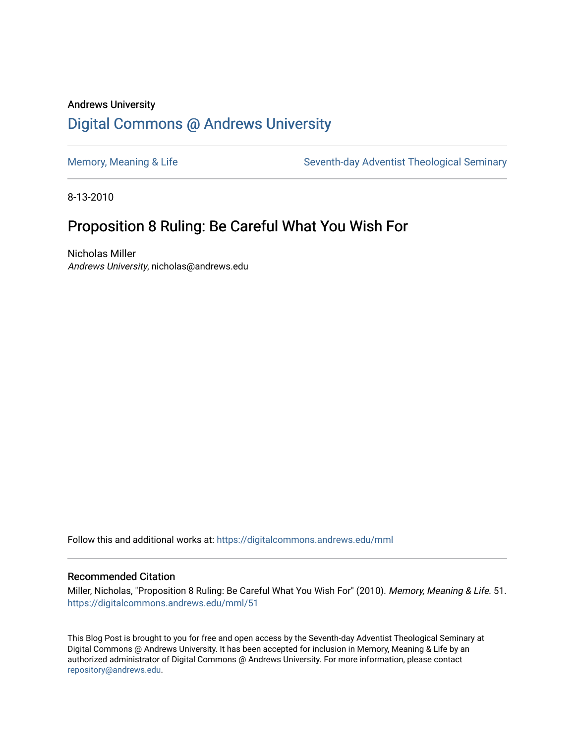## Andrews University [Digital Commons @ Andrews University](https://digitalcommons.andrews.edu/)

[Memory, Meaning & Life](https://digitalcommons.andrews.edu/mml) Seventh-day Adventist Theological Seminary

8-13-2010

## Proposition 8 Ruling: Be Careful What You Wish For

Nicholas Miller Andrews University, nicholas@andrews.edu

Follow this and additional works at: [https://digitalcommons.andrews.edu/mml](https://digitalcommons.andrews.edu/mml?utm_source=digitalcommons.andrews.edu%2Fmml%2F51&utm_medium=PDF&utm_campaign=PDFCoverPages) 

#### Recommended Citation

Miller, Nicholas, "Proposition 8 Ruling: Be Careful What You Wish For" (2010). Memory, Meaning & Life. 51. [https://digitalcommons.andrews.edu/mml/51](https://digitalcommons.andrews.edu/mml/51?utm_source=digitalcommons.andrews.edu%2Fmml%2F51&utm_medium=PDF&utm_campaign=PDFCoverPages)

This Blog Post is brought to you for free and open access by the Seventh-day Adventist Theological Seminary at Digital Commons @ Andrews University. It has been accepted for inclusion in Memory, Meaning & Life by an authorized administrator of Digital Commons @ Andrews University. For more information, please contact [repository@andrews.edu](mailto:repository@andrews.edu).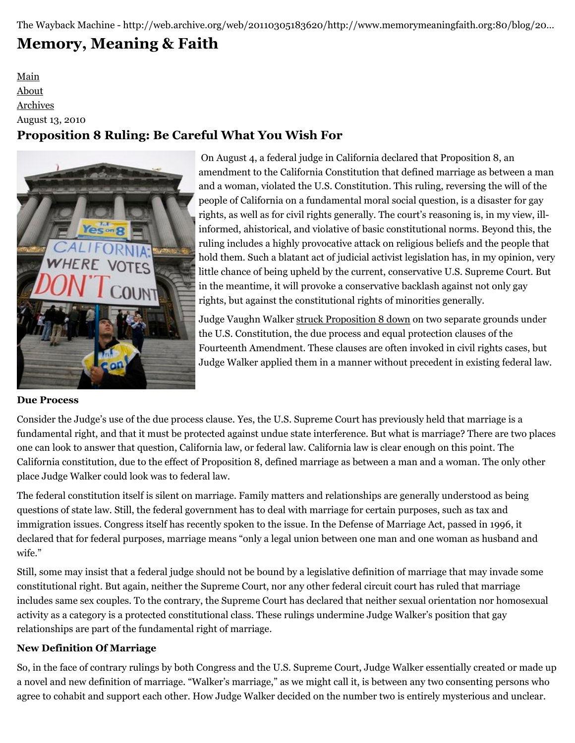The Wayback Machine - http://web.archive.org/web/20110305183620/http://www.memorymeaningfaith.org:80/blog/20…

# **[Memory, Meaning & Faith](http://web.archive.org/web/20110305183620/http://www.memorymeaningfaith.org/blog/)**

### [Main](http://web.archive.org/web/20110305183620/http://www.memorymeaningfaith.org/blog) [About](http://web.archive.org/web/20110305183620/http://www.memorymeaningfaith.org/blog/about.html) [Archives](http://web.archive.org/web/20110305183620/http://www.memorymeaningfaith.org/blog/archives.html) August 13, 2010 **Proposition 8 Ruling: Be Careful What You Wish For**



On August 4, a federal judge in California declared that Proposition 8, an [a](http://web.archive.org/web/20110305183620/http://www.memorymeaningfaith.org/.a/6a01287656f488970c0134862f0d7a970c-pi)mendment to the California Constitution that defined marriage as between a man and a woman, violated the U.S. Constitution. This ruling, reversing the will of the people of California on a fundamental moral social question, is a disaster for gay rights, as well as for civil rights generally. The court's reasoning is, in my view, illinformed, ahistorical, and violative of basic constitutional norms. Beyond this, the ruling includes a highly provocative attack on religious beliefs and the people that hold them. Such a blatant act of judicial activist legislation has, in my opinion, very little chance of being upheld by the current, conservative U.S. Supreme Court. But in the meantime, it will provoke a conservative backlash against not only gay rights, but against the constitutional rights of minorities generally.

Judge Vaughn Walker [struck Proposition 8 down](http://web.archive.org/web/20110305183620/http://www.scribd.com/doc/35374801/Prop-8-Ruling) on two separate grounds under the U.S. Constitution, the due process and equal protection clauses of the Fourteenth Amendment. These clauses are often invoked in civil rights cases, but Judge Walker applied them in a manner without precedent in existing federal law.

#### **Due Process**

Consider the Judge's use of the due process clause. Yes, the U.S. Supreme Court has previously held that marriage is a fundamental right, and that it must be protected against undue state interference. But what is marriage? There are two places one can look to answer that question, California law, or federal law. California law is clear enough on this point. The California constitution, due to the effect of Proposition 8, defined marriage as between a man and a woman. The only other place Judge Walker could look was to federal law.

The federal constitution itself is silent on marriage. Family matters and relationships are generally understood as being questions of state law. Still, the federal government has to deal with marriage for certain purposes, such as tax and immigration issues. Congress itself has recently spoken to the issue. In the Defense of Marriage Act, passed in 1996, it declared that for federal purposes, marriage means "only a legal union between one man and one woman as husband and wife."

Still, some may insist that a federal judge should not be bound by a legislative definition of marriage that may invade some constitutional right. But again, neither the Supreme Court, nor any other federal circuit court has ruled that marriage includes same sex couples. To the contrary, the Supreme Court has declared that neither sexual orientation nor homosexual activity as a category is a protected constitutional class. These rulings undermine Judge Walker's position that gay relationships are part of the fundamental right of marriage.

#### **New Definition Of Marriage**

So, in the face of contrary rulings by both Congress and the U.S. Supreme Court, Judge Walker essentially created or made up a novel and new definition of marriage. "Walker's marriage," as we might call it, is between any two consenting persons who agree to cohabit and support each other. How Judge Walker decided on the number two is entirely mysterious and unclear.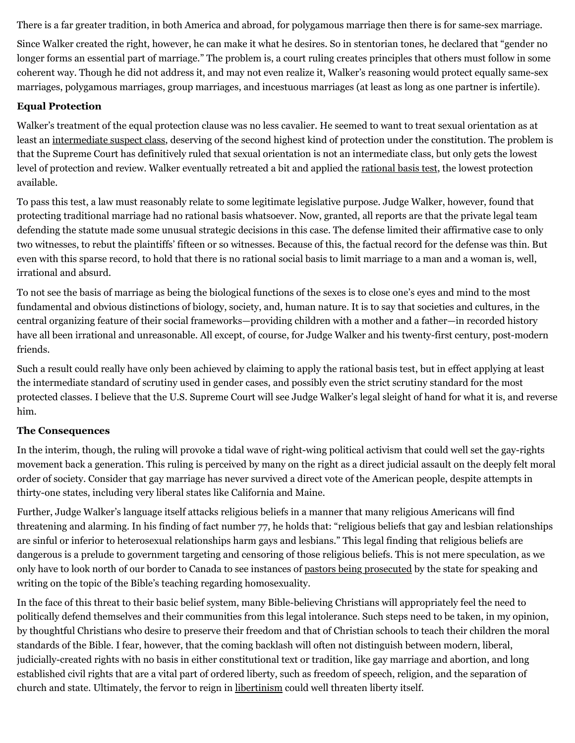There is a far greater tradition, in both America and abroad, for polygamous marriage then there is for same-sex marriage.

Since Walker created the right, however, he can make it what he desires. So in stentorian tones, he declared that "gender no longer forms an essential part of marriage." The problem is, a court ruling creates principles that others must follow in some coherent way. Though he did not address it, and may not even realize it, Walker's reasoning would protect equally same-sex marriages, polygamous marriages, group marriages, and incestuous marriages (at least as long as one partner is infertile).

#### **Equal Protection**

Walker's treatment of the equal protection clause was no less cavalier. He seemed to want to treat sexual orientation as at least an [intermediate suspect class](http://web.archive.org/web/20110305183620/http://en.wikipedia.org/wiki/Intermediate_scrutiny), deserving of the second highest kind of protection under the constitution. The problem is that the Supreme Court has definitively ruled that sexual orientation is not an intermediate class, but only gets the lowest level of protection and review. Walker eventually retreated a bit and applied the [rational basis test,](http://web.archive.org/web/20110305183620/http://en.wikipedia.org/wiki/Rational_basis_review) the lowest protection available.

To pass this test, a law must reasonably relate to some legitimate legislative purpose. Judge Walker, however, found that protecting traditional marriage had no rational basis whatsoever. Now, granted, all reports are that the private legal team defending the statute made some unusual strategic decisions in this case. The defense limited their affirmative case to only two witnesses, to rebut the plaintiffs' fifteen or so witnesses. Because of this, the factual record for the defense was thin. But even with this sparse record, to hold that there is no rational social basis to limit marriage to a man and a woman is, well, irrational and absurd.

To not see the basis of marriage as being the biological functions of the sexes is to close one's eyes and mind to the most fundamental and obvious distinctions of biology, society, and, human nature. It is to say that societies and cultures, in the central organizing feature of their social frameworks—providing children with a mother and a father—in recorded history have all been irrational and unreasonable. All except, of course, for Judge Walker and his twenty-first century, post-modern friends.

Such a result could really have only been achieved by claiming to apply the rational basis test, but in effect applying at least the intermediate standard of scrutiny used in gender cases, and possibly even the strict scrutiny standard for the most protected classes. I believe that the U.S. Supreme Court will see Judge Walker's legal sleight of hand for what it is, and reverse him.

#### **The Consequences**

In the interim, though, the ruling will provoke a tidal wave of right-wing political activism that could well set the gay-rights movement back a generation. This ruling is perceived by many on the right as a direct judicial assault on the deeply felt moral order of society. Consider that gay marriage has never survived a direct vote of the American people, despite attempts in thirty-one states, including very liberal states like California and Maine.

Further, Judge Walker's language itself attacks religious beliefs in a manner that many religious Americans will find threatening and alarming. In his finding of fact number 77, he holds that: "religious beliefs that gay and lesbian relationships are sinful or inferior to heterosexual relationships harm gays and lesbians." This legal finding that religious beliefs are dangerous is a prelude to government targeting and censoring of those religious beliefs. This is not mere speculation, as we only have to look north of our border to Canada to see instances of [pastors being prosecuted](http://web.archive.org/web/20110305183620/http://www.calgaryherald.com/life/Speaking+better+than+prosecuting/3327064/story.html) by the state for speaking and writing on the topic of the Bible's teaching regarding homosexuality.

In the face of this threat to their basic belief system, many Bible-believing Christians will appropriately feel the need to politically defend themselves and their communities from this legal intolerance. Such steps need to be taken, in my opinion, by thoughtful Christians who desire to preserve their freedom and that of Christian schools to teach their children the moral standards of the Bible. I fear, however, that the coming backlash will often not distinguish between modern, liberal, judicially-created rights with no basis in either constitutional text or tradition, like gay marriage and abortion, and long established civil rights that are a vital part of ordered liberty, such as freedom of speech, religion, and the separation of church and state. Ultimately, the fervor to reign in [libertinism](http://web.archive.org/web/20110305183620/http://www.memorymeaningfaith.org/blog/2010/08/white-on-france-sodom.html.html) could well threaten liberty itself.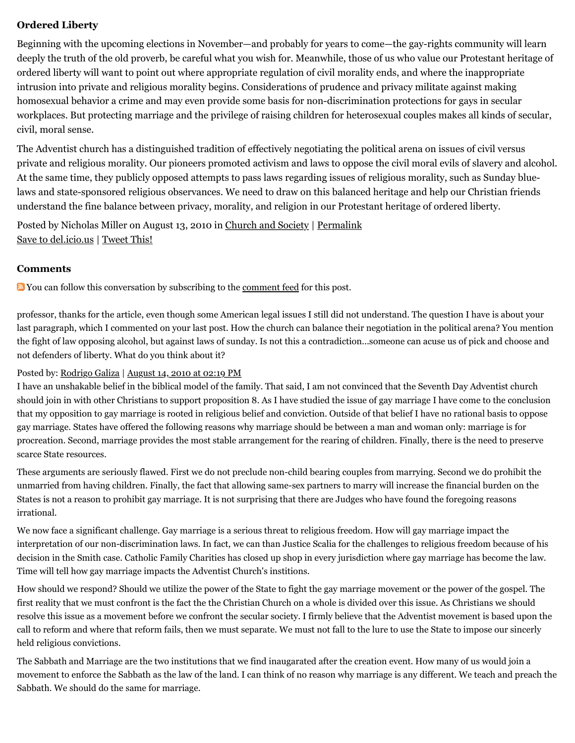#### **Ordered Liberty**

Beginning with the upcoming elections in November—and probably for years to come—the gay-rights community will learn deeply the truth of the old proverb, be careful what you wish for. Meanwhile, those of us who value our Protestant heritage of ordered liberty will want to point out where appropriate regulation of civil morality ends, and where the inappropriate intrusion into private and religious morality begins. Considerations of prudence and privacy militate against making homosexual behavior a crime and may even provide some basis for non-discrimination protections for gays in secular workplaces. But protecting marriage and the privilege of raising children for heterosexual couples makes all kinds of secular, civil, moral sense.

The Adventist church has a distinguished tradition of effectively negotiating the political arena on issues of civil versus private and religious morality. Our pioneers promoted activism and laws to oppose the civil moral evils of slavery and alcohol. At the same time, they publicly opposed attempts to pass laws regarding issues of religious morality, such as Sunday bluelaws and state-sponsored religious observances. We need to draw on this balanced heritage and help our Christian friends understand the fine balance between privacy, morality, and religion in our Protestant heritage of ordered liberty.

Posted by Nicholas Miller on August 13, 2010 in [Church and Society](http://web.archive.org/web/20110305183620/http://www.memorymeaningfaith.org/blog/church-and-society/) | [Permalink](http://web.archive.org/web/20110305183620/http://www.memorymeaningfaith.org/blog/2010/08/proposition-8-ruling.html) [Save to del.icio.us](http://web.archive.org/web/20110305183620/http://del.icio.us/post) | [Tweet This!](http://web.archive.org/web/20110305183620/http://twitter.com/home?status=Proposition%208%20Ruling%3A%20Be%20Careful%20What%20You%20Wish%20For%20http%3A%2F%2Fweb.archive.org%2Fweb%2F20110305183620%2Fhttp%3A%2F%2Fbit.ly%2FcSNf2F)

#### **Comments**

**N** You can follow this conversation by subscribing to the [comment feed](http://web.archive.org/web/20110305183620/http://www.memorymeaningfaith.org/blog/2010/08/proposition-8-ruling/comments/atom.xml) for this post.

professor, thanks for the article, even though some American legal issues I still did not understand. The question I have is about your last paragraph, which I commented on your last post. How the church can balance their negotiation in the political arena? You mention the fight of law opposing alcohol, but against laws of sunday. Is not this a contradiction...someone can acuse us of pick and choose and not defenders of liberty. What do you think about it?

#### Posted by: [Rodrigo Galiza](http://web.archive.org/web/20110305183620/http://rodrigogaliza.blogspot.com/) | [August 14, 2010 at 02:19 PM](http://web.archive.org/web/20110305183620/http://www.memorymeaningfaith.org/blog/2010/08/proposition-8-ruling.html?cid=6a01287656f488970c01348634d84f970c#comment-6a01287656f488970c01348634d84f970c)

I have an unshakable belief in the biblical model of the family. That said, I am not convinced that the Seventh Day Adventist church should join in with other Christians to support proposition 8. As I have studied the issue of gay marriage I have come to the conclusion that my opposition to gay marriage is rooted in religious belief and conviction. Outside of that belief I have no rational basis to oppose gay marriage. States have offered the following reasons why marriage should be between a man and woman only: marriage is for procreation. Second, marriage provides the most stable arrangement for the rearing of children. Finally, there is the need to preserve scarce State resources.

These arguments are seriously flawed. First we do not preclude non-child bearing couples from marrying. Second we do prohibit the unmarried from having children. Finally, the fact that allowing same-sex partners to marry will increase the financial burden on the States is not a reason to prohibit gay marriage. It is not surprising that there are Judges who have found the foregoing reasons irrational.

We now face a significant challenge. Gay marriage is a serious threat to religious freedom. How will gay marriage impact the interpretation of our non-discrimination laws. In fact, we can than Justice Scalia for the challenges to religious freedom because of his decision in the Smith case. Catholic Family Charities has closed up shop in every jurisdiction where gay marriage has become the law. Time will tell how gay marriage impacts the Adventist Church's institions.

How should we respond? Should we utilize the power of the State to fight the gay marriage movement or the power of the gospel. The first reality that we must confront is the fact the the Christian Church on a whole is divided over this issue. As Christians we should resolve this issue as a movement before we confront the secular society. I firmly believe that the Adventist movement is based upon the call to reform and where that reform fails, then we must separate. We must not fall to the lure to use the State to impose our sincerly held religious convictions.

The Sabbath and Marriage are the two institutions that we find inaugarated after the creation event. How many of us would join a movement to enforce the Sabbath as the law of the land. I can think of no reason why marriage is any different. We teach and preach the Sabbath. We should do the same for marriage.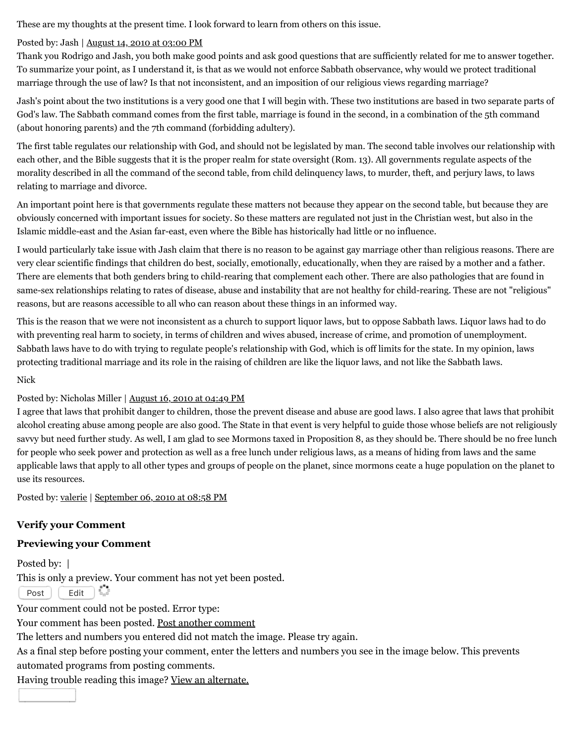These are my thoughts at the present time. I look forward to learn from others on this issue.

#### Posted by: Jash | [August 14, 2010 at 03:00 PM](http://web.archive.org/web/20110305183620/http://www.memorymeaningfaith.org/blog/2010/08/proposition-8-ruling.html?cid=6a01287656f488970c01348634fc7c970c#comment-6a01287656f488970c01348634fc7c970c)

Thank you Rodrigo and Jash, you both make good points and ask good questions that are sufficiently related for me to answer together. To summarize your point, as I understand it, is that as we would not enforce Sabbath observance, why would we protect traditional marriage through the use of law? Is that not inconsistent, and an imposition of our religious views regarding marriage?

Jash's point about the two institutions is a very good one that I will begin with. These two institutions are based in two separate parts of God's law. The Sabbath command comes from the first table, marriage is found in the second, in a combination of the 5th command (about honoring parents) and the 7th command (forbidding adultery).

The first table regulates our relationship with God, and should not be legislated by man. The second table involves our relationship with each other, and the Bible suggests that it is the proper realm for state oversight (Rom. 13). All governments regulate aspects of the morality described in all the command of the second table, from child delinquency laws, to murder, theft, and perjury laws, to laws relating to marriage and divorce.

An important point here is that governments regulate these matters not because they appear on the second table, but because they are obviously concerned with important issues for society. So these matters are regulated not just in the Christian west, but also in the Islamic middle-east and the Asian far-east, even where the Bible has historically had little or no influence.

I would particularly take issue with Jash claim that there is no reason to be against gay marriage other than religious reasons. There are very clear scientific findings that children do best, socially, emotionally, educationally, when they are raised by a mother and a father. There are elements that both genders bring to child-rearing that complement each other. There are also pathologies that are found in same-sex relationships relating to rates of disease, abuse and instability that are not healthy for child-rearing. These are not "religious" reasons, but are reasons accessible to all who can reason about these things in an informed way.

This is the reason that we were not inconsistent as a church to support liquor laws, but to oppose Sabbath laws. Liquor laws had to do with preventing real harm to society, in terms of children and wives abused, increase of crime, and promotion of unemployment. Sabbath laws have to do with trying to regulate people's relationship with God, which is off limits for the state. In my opinion, laws protecting traditional marriage and its role in the raising of children are like the liquor laws, and not like the Sabbath laws.

#### Nick

#### Posted by: Nicholas Miller | [August 16, 2010 at 04:49 PM](http://web.archive.org/web/20110305183620/http://www.memorymeaningfaith.org/blog/2010/08/proposition-8-ruling.html?cid=6a01287656f488970c0134863f9d2e970c#comment-6a01287656f488970c0134863f9d2e970c)

I agree that laws that prohibit danger to children, those the prevent disease and abuse are good laws. I also agree that laws that prohibit alcohol creating abuse among people are also good. The State in that event is very helpful to guide those whose beliefs are not religiously savvy but need further study. As well, I am glad to see Mormons taxed in Proposition 8, as they should be. There should be no free lunch for people who seek power and protection as well as a free lunch under religious laws, as a means of hiding from laws and the same applicable laws that apply to all other types and groups of people on the planet, since mormons ceate a huge population on the planet to use its resources.

Posted by: [valerie](http://web.archive.org/web/20110305183620/http://wisdomful.com/) | [September 06, 2010 at 08:58 PM](http://web.archive.org/web/20110305183620/http://www.memorymeaningfaith.org/blog/2010/08/proposition-8-ruling.html?cid=6a01287656f488970c0133f3e59813970b#comment-6a01287656f488970c0133f3e59813970b)

#### **Verify your Comment**

#### **Previewing your Comment**

Posted by:  $\vert$ This is only a preview. Your comment has not yet been posted.

 $\overline{\text{Post}}$   $\overline{\text{Edit}}$   $\overline{\text{B}}_{\text{max}}^{\text{max}}$ 

Your comment could not be posted. Error type:

Your comment has been posted. [Post another comment](javascript:void%200;)

<span id="page-4-0"></span>The letters and numbers you entered did not match the image. Please try again.

As a final step before posting your comment, enter the letters and numbers you see in the image below. This prevents

automated programs from posting comments.

Having trouble reading this image? [View an alternate.](#page-4-0)